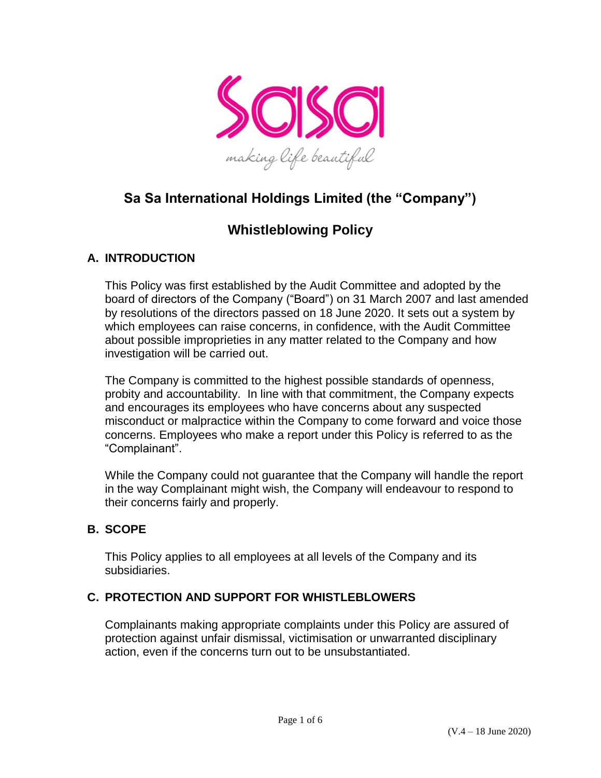

# **Sa Sa International Holdings Limited (the "Company")**

## **Whistleblowing Policy**

## **A. INTRODUCTION**

This Policy was first established by the Audit Committee and adopted by the board of directors of the Company ("Board") on 31 March 2007 and last amended by resolutions of the directors passed on 18 June 2020. It sets out a system by which employees can raise concerns, in confidence, with the Audit Committee about possible improprieties in any matter related to the Company and how investigation will be carried out.

The Company is committed to the highest possible standards of openness, probity and accountability. In line with that commitment, the Company expects and encourages its employees who have concerns about any suspected misconduct or malpractice within the Company to come forward and voice those concerns. Employees who make a report under this Policy is referred to as the "Complainant".

While the Company could not guarantee that the Company will handle the report in the way Complainant might wish, the Company will endeavour to respond to their concerns fairly and properly.

#### **B. SCOPE**

This Policy applies to all employees at all levels of the Company and its subsidiaries.

#### **C. PROTECTION AND SUPPORT FOR WHISTLEBLOWERS**

Complainants making appropriate complaints under this Policy are assured of protection against unfair dismissal, victimisation or unwarranted disciplinary action, even if the concerns turn out to be unsubstantiated.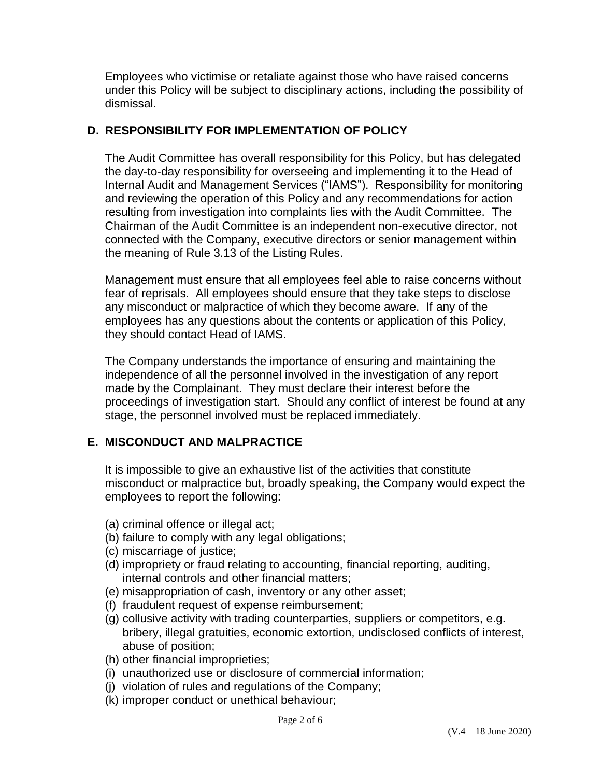Employees who victimise or retaliate against those who have raised concerns under this Policy will be subject to disciplinary actions, including the possibility of dismissal.

#### **D. RESPONSIBILITY FOR IMPLEMENTATION OF POLICY**

The Audit Committee has overall responsibility for this Policy, but has delegated the day-to-day responsibility for overseeing and implementing it to the Head of Internal Audit and Management Services ("IAMS"). Responsibility for monitoring and reviewing the operation of this Policy and any recommendations for action resulting from investigation into complaints lies with the Audit Committee. The Chairman of the Audit Committee is an independent non-executive director, not connected with the Company, executive directors or senior management within the meaning of Rule 3.13 of the Listing Rules.

Management must ensure that all employees feel able to raise concerns without fear of reprisals. All employees should ensure that they take steps to disclose any misconduct or malpractice of which they become aware. If any of the employees has any questions about the contents or application of this Policy, they should contact Head of IAMS.

The Company understands the importance of ensuring and maintaining the independence of all the personnel involved in the investigation of any report made by the Complainant. They must declare their interest before the proceedings of investigation start. Should any conflict of interest be found at any stage, the personnel involved must be replaced immediately.

#### **E. MISCONDUCT AND MALPRACTICE**

It is impossible to give an exhaustive list of the activities that constitute misconduct or malpractice but, broadly speaking, the Company would expect the employees to report the following:

- (a) criminal offence or illegal act;
- (b) failure to comply with any legal obligations;
- (c) miscarriage of justice;
- (d) impropriety or fraud relating to accounting, financial reporting, auditing, internal controls and other financial matters;
- (e) misappropriation of cash, inventory or any other asset;
- (f) fraudulent request of expense reimbursement;
- (g) collusive activity with trading counterparties, suppliers or competitors, e.g. bribery, illegal gratuities, economic extortion, undisclosed conflicts of interest, abuse of position;
- (h) other financial improprieties;
- (i) unauthorized use or disclosure of commercial information;
- (j) violation of rules and regulations of the Company;
- (k) improper conduct or unethical behaviour;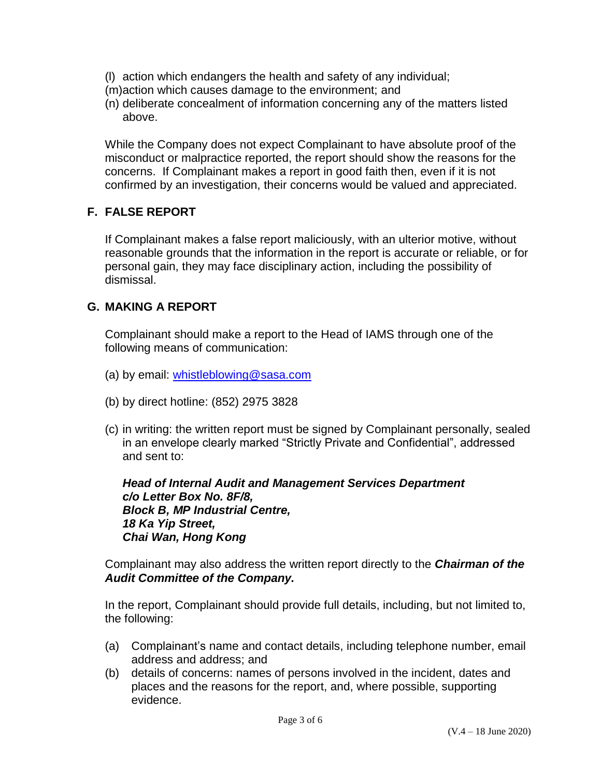- (l) action which endangers the health and safety of any individual;
- (m)action which causes damage to the environment; and
- (n) deliberate concealment of information concerning any of the matters listed above.

While the Company does not expect Complainant to have absolute proof of the misconduct or malpractice reported, the report should show the reasons for the concerns. If Complainant makes a report in good faith then, even if it is not confirmed by an investigation, their concerns would be valued and appreciated.

#### **F. FALSE REPORT**

If Complainant makes a false report maliciously, with an ulterior motive, without reasonable grounds that the information in the report is accurate or reliable, or for personal gain, they may face disciplinary action, including the possibility of dismissal.

## **G. MAKING A REPORT**

Complainant should make a report to the Head of IAMS through one of the following means of communication:

- (a) by email: [whistleblowing@sasa.com](mailto:whistleblowing@sasa.com)
- (b) by direct hotline: (852) 2975 3828
- (c) in writing: the written report must be signed by Complainant personally, sealed in an envelope clearly marked "Strictly Private and Confidential", addressed and sent to:

*Head of Internal Audit and Management Services Department c/o Letter Box No. 8F/8, Block B, MP Industrial Centre, 18 Ka Yip Street, Chai Wan, Hong Kong*

Complainant may also address the written report directly to the *Chairman of the Audit Committee of the Company.* 

In the report, Complainant should provide full details, including, but not limited to, the following:

- (a) Complainant's name and contact details, including telephone number, email address and address; and
- (b) details of concerns: names of persons involved in the incident, dates and places and the reasons for the report, and, where possible, supporting evidence.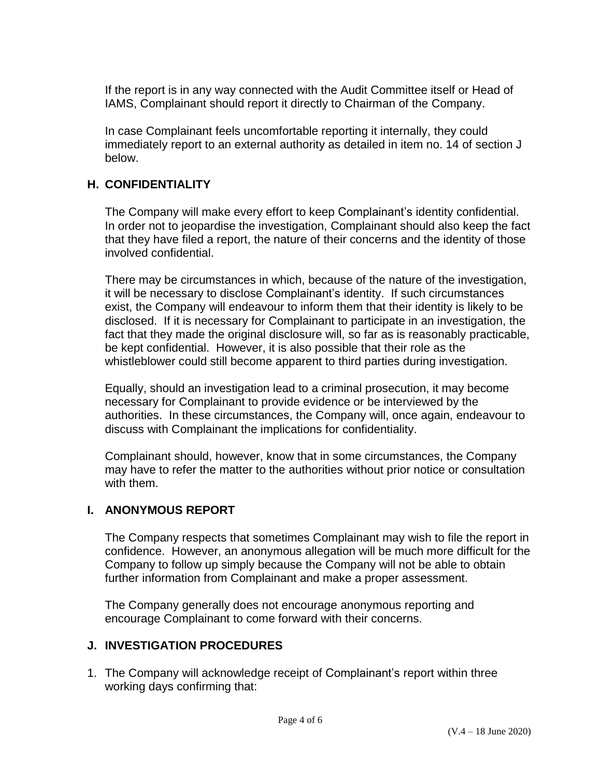If the report is in any way connected with the Audit Committee itself or Head of IAMS, Complainant should report it directly to Chairman of the Company.

In case Complainant feels uncomfortable reporting it internally, they could immediately report to an external authority as detailed in item no. 14 of section J below.

## **H. CONFIDENTIALITY**

The Company will make every effort to keep Complainant's identity confidential. In order not to jeopardise the investigation, Complainant should also keep the fact that they have filed a report, the nature of their concerns and the identity of those involved confidential.

There may be circumstances in which, because of the nature of the investigation, it will be necessary to disclose Complainant's identity. If such circumstances exist, the Company will endeavour to inform them that their identity is likely to be disclosed. If it is necessary for Complainant to participate in an investigation, the fact that they made the original disclosure will, so far as is reasonably practicable, be kept confidential. However, it is also possible that their role as the whistleblower could still become apparent to third parties during investigation.

Equally, should an investigation lead to a criminal prosecution, it may become necessary for Complainant to provide evidence or be interviewed by the authorities. In these circumstances, the Company will, once again, endeavour to discuss with Complainant the implications for confidentiality.

Complainant should, however, know that in some circumstances, the Company may have to refer the matter to the authorities without prior notice or consultation with them.

#### **I. ANONYMOUS REPORT**

The Company respects that sometimes Complainant may wish to file the report in confidence. However, an anonymous allegation will be much more difficult for the Company to follow up simply because the Company will not be able to obtain further information from Complainant and make a proper assessment.

The Company generally does not encourage anonymous reporting and encourage Complainant to come forward with their concerns.

#### **J. INVESTIGATION PROCEDURES**

1. The Company will acknowledge receipt of Complainant's report within three working days confirming that: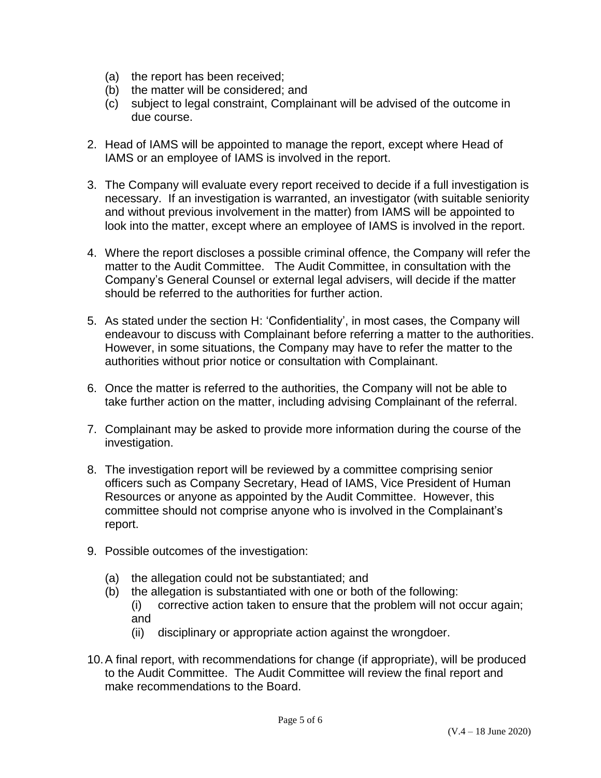- (a) the report has been received;
- (b) the matter will be considered; and
- (c) subject to legal constraint, Complainant will be advised of the outcome in due course.
- 2. Head of IAMS will be appointed to manage the report, except where Head of IAMS or an employee of IAMS is involved in the report.
- 3. The Company will evaluate every report received to decide if a full investigation is necessary. If an investigation is warranted, an investigator (with suitable seniority and without previous involvement in the matter) from IAMS will be appointed to look into the matter, except where an employee of IAMS is involved in the report.
- 4. Where the report discloses a possible criminal offence, the Company will refer the matter to the Audit Committee. The Audit Committee, in consultation with the Company's General Counsel or external legal advisers, will decide if the matter should be referred to the authorities for further action.
- 5. As stated under the section H: 'Confidentiality', in most cases, the Company will endeavour to discuss with Complainant before referring a matter to the authorities. However, in some situations, the Company may have to refer the matter to the authorities without prior notice or consultation with Complainant.
- 6. Once the matter is referred to the authorities, the Company will not be able to take further action on the matter, including advising Complainant of the referral.
- 7. Complainant may be asked to provide more information during the course of the investigation.
- 8. The investigation report will be reviewed by a committee comprising senior officers such as Company Secretary, Head of IAMS, Vice President of Human Resources or anyone as appointed by the Audit Committee. However, this committee should not comprise anyone who is involved in the Complainant's report.
- 9. Possible outcomes of the investigation:
	- (a) the allegation could not be substantiated; and
	- (b) the allegation is substantiated with one or both of the following: (i) corrective action taken to ensure that the problem will not occur again;
		- and
		- (ii) disciplinary or appropriate action against the wrongdoer.
- 10.A final report, with recommendations for change (if appropriate), will be produced to the Audit Committee. The Audit Committee will review the final report and make recommendations to the Board.